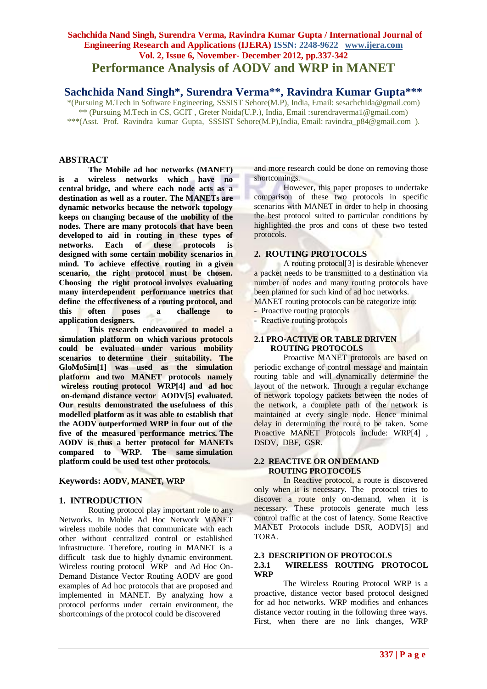# **Sachchida Nand Singh, Surendra Verma, Ravindra Kumar Gupta / International Journal of Engineering Research and Applications (IJERA) ISSN: 2248-9622 www.ijera.com Vol. 2, Issue 6, November- December 2012, pp.337-342 Performance Analysis of AODV and WRP in MANET**

# **Sachchida Nand Singh\*, Surendra Verma\*\*, Ravindra Kumar Gupta\*\*\***

\*(Pursuing M.Tech in Software Engineering, SSSIST Sehore(M.P), India, Email: sesachchida@gmail.com) \*\* (Pursuing M.Tech in CS, GCIT , Greter Noida(U.P.), India, Email :surendraverma1@gmail.com) \*\*\*(Asst. Prof. Ravindra kumar Gupta, SSSIST Sehore(M.P),India, Email: ravindra\_p84@gmail.com ).

# **ABSTRACT**

**The Mobile ad hoc networks (MANET) is a wireless networks which have no central bridge, and where each node acts as a destination as well as a router. The MANETs are dynamic networks because the network topology keeps on changing because of the mobility of the nodes. There are many protocols that have been developed to aid in routing in these types of networks. Each of these protocols is designed with some certain mobility scenarios in mind. To achieve effective routing in a given scenario, the right protocol must be chosen. Choosing the right protocol involves evaluating many interdependent performance metrics that define the effectiveness of a routing protocol, and this often poses a challenge to application designers.**

**This research endeavoured to model a simulation platform on which various protocols could be evaluated under various mobility scenarios to determine their suitability. The GloMoSim[1] was used as the simulation platform and two MANET protocols namely wireless routing protocol WRP[4] and ad hoc on-demand distance vector AODV[5] evaluated. Our results demonstrated the usefulness of this modelled platform as it was able to establish that the AODV outperformed WRP in four out of the five of the measured performance metrics. The AODV is thus a better protocol for MANETs compared to WRP. The same simulation platform could be used test other protocols.**

### **Keywords: AODV, MANET, WRP**

### **1. INTRODUCTION**

Routing protocol play important role to any Networks. In Mobile Ad Hoc Network MANET wireless mobile nodes that communicate with each other without centralized control or established infrastructure. Therefore, routing in MANET is a difficult task due to highly dynamic environment. Wireless routing protocol WRP and Ad Hoc On-Demand Distance Vector Routing AODV are good examples of Ad hoc protocols that are proposed and implemented in MANET. By analyzing how a protocol performs under certain environment, the shortcomings of the protocol could be discovered

and more research could be done on removing those shortcomings.

However, this paper proposes to undertake comparison of these two protocols in specific scenarios with MANET in order to help in choosing the best protocol suited to particular conditions by highlighted the pros and cons of these two tested protocols.

# **2. ROUTING PROTOCOLS**

A routing protocol[3] is desirable whenever a packet needs to be transmitted to a destination via number of nodes and many routing protocols have been planned for such kind of ad hoc networks.

- MANET routing protocols can be categorize into:
- Proactive routing protocols
- Reactive routing protocols

# **2.1 PRO-ACTIVE OR TABLE DRIVEN ROUTING PROTOCOLS**

Proactive MANET protocols are based on periodic exchange of control message and maintain routing table and will dynamically determine the layout of the network. Through a regular exchange of network topology packets between the nodes of the network, a complete path of the network is maintained at every single node. Hence minimal delay in determining the route to be taken. Some Proactive MANET Protocols include: WRP[4] , DSDV, DBF, GSR.

### **2.2 REACTIVE OR ON DEMAND ROUTING PROTOCOLS**

In Reactive protocol, a route is discovered only when it is necessary. The protocol tries to discover a route only on-demand, when it is necessary. These protocols generate much less control traffic at the cost of latency. Some Reactive MANET Protocols include DSR, AODV[5] and TORA.

#### **2.3 DESCRIPTION OF PROTOCOLS**

# **2.3.1 WIRELESS ROUTING PROTOCOL WRP**

The Wireless Routing Protocol WRP is a proactive, distance vector based protocol designed for ad hoc networks. WRP modifies and enhances distance vector routing in the following three ways. First, when there are no link changes, WRP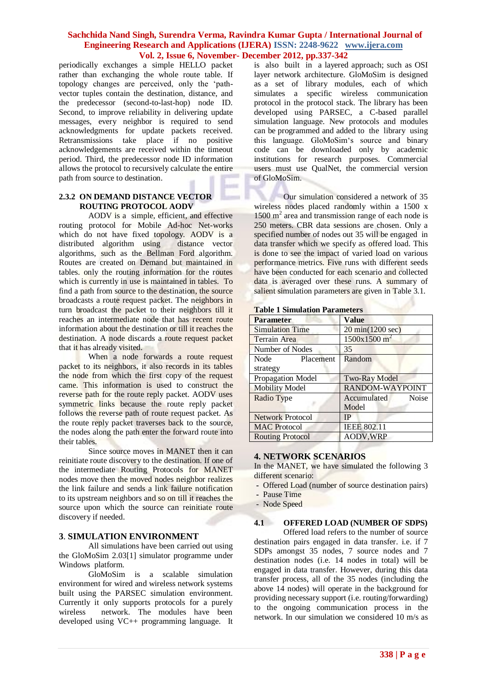periodically exchanges a simple HELLO packet rather than exchanging the whole route table. If topology changes are perceived, only the "pathvector tuples contain the destination, distance, and the predecessor (second-to-last-hop) node ID. Second, to improve reliability in delivering update messages, every neighbor is required to send acknowledgments for update packets received. Retransmissions take place if no positive acknowledgements are received within the timeout period. Third, the predecessor node ID information allows the protocol to recursively calculate the entire path from source to destination.

# **2.3.2 ON DEMAND DISTANCE VECTOR ROUTING PROTOCOL AODV**

AODV is a simple, efficient, and effective routing protocol for Mobile Ad-hoc Net-works which do not have fixed topology. AODV is a distributed algorithm using distance vector distributed algorithm using algorithms, such as the Bellman Ford algorithm. Routes are created on Demand but maintained in tables. only the routing information for the routes which is currently in use is maintained in tables. To find a path from source to the destination, the source broadcasts a route request packet. The neighbors in turn broadcast the packet to their neighbors till it reaches an intermediate node that has recent route information about the destination or till it reaches the destination. A node discards a route request packet that it has already visited.

When a node forwards a route request packet to its neighbors, it also records in its tables the node from which the first copy of the request came. This information is used to construct the reverse path for the route reply packet. AODV uses symmetric links because the route reply packet follows the reverse path of route request packet. As the route reply packet traverses back to the source, the nodes along the path enter the forward route into their tables.

Since source moves in MANET then it can reinitiate route discovery to the destination. If one of the intermediate Routing Protocols for MANET nodes move then the moved nodes neighbor realizes the link failure and sends a link failure notification to its upstream neighbors and so on till it reaches the source upon which the source can reinitiate route discovery if needed.

# **3**. **SIMULATION ENVIRONMENT**

All simulations have been carried out using the GloMoSim 2.03[1] simulator programme under Windows platform.

GloMoSim is a scalable simulation environment for wired and wireless network systems built using the PARSEC simulation environment. Currently it only supports protocols for a purely wireless network. The modules have been developed using VC++ programming language. It is also built in a layered approach; such as OSI layer network architecture. GloMoSim is designed as a set of library modules, each of which simulates a specific wireless communication protocol in the protocol stack. The library has been developed using PARSEC, a C-based parallel simulation language. New protocols and modules can be programmed and added to the library using this language. GloMoSim"s source and binary code can be downloaded only by academic institutions for research purposes. Commercial users must use QualNet, the commercial version of GloMoSim.

Our simulation considered a network of 35 wireless nodes placed randomly within a 1500 x 1500 m<sup>2</sup> area and transmission range of each node is 250 meters. CBR data sessions are chosen. Only a specified number of nodes out 35 will be engaged in data transfer which we specify as offered load. This is done to see the impact of varied load on various performance metrics. Five runs with different seeds have been conducted for each scenario and collected data is averaged over these runs. A summary of salient simulation parameters are given in Table 3.1.

| raoic r oimmanon r aramcters |                             |
|------------------------------|-----------------------------|
| <b>Parameter</b>             | <b>Value</b>                |
| <b>Simulation Time</b>       | 20 min(1200 sec)            |
| <b>Terrain Area</b>          | 1500x1500 m <sup>2</sup>    |
| Number of Nodes              | 35                          |
| Node<br>Placement            | Random                      |
| strategy                     |                             |
| Propagation Model            | Two-Ray Model               |
| <b>Mobility Model</b>        | RANDOM-WAYPOINT             |
| Radio Type                   | <b>Noise</b><br>Accumulated |
|                              | Model                       |
| Network Protocol             | <b>IP</b>                   |
| <b>MAC</b> Protocol          | <b>IEEE 802.11</b>          |
| <b>Routing Protocol</b>      | <b>AODV, WRP</b>            |
|                              |                             |

### **4. NETWORK SCENARIOS**

In the MANET, we have simulated the following 3 different scenario:

- Offered Load (number of source destination pairs)
- **-** Pause Time
- Node Speed

### **4.1 OFFERED LOAD (NUMBER OF SDPS)**

Offered load refers to the number of source destination pairs engaged in data transfer. i.e. if 7 SDPs amongst 35 nodes, 7 source nodes and 7 destination nodes (i.e. 14 nodes in total) will be engaged in data transfer. However, during this data transfer process, all of the 35 nodes (including the above 14 nodes) will operate in the background for providing necessary support (i.e. routing/forwarding) to the ongoing communication process in the network. In our simulation we considered 10 m/s as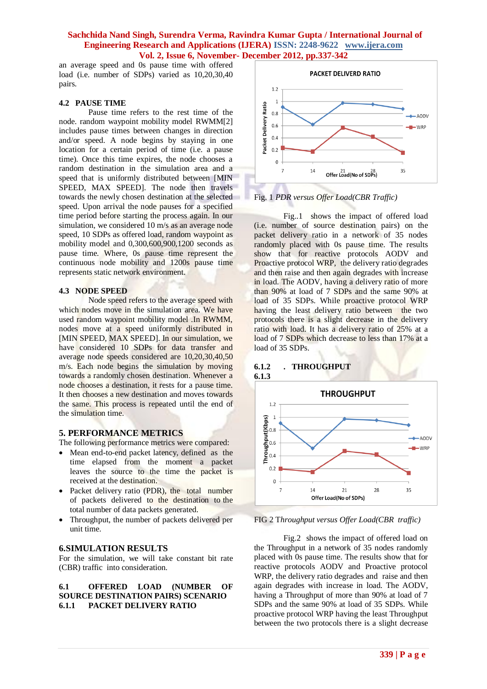an average speed and 0s pause time with offered load (i.e. number of SDPs) varied as 10,20,30,40 pairs.

### **4.2 PAUSE TIME**

Pause time refers to the rest time of the node. random waypoint mobility model RWMM[2] includes pause times between changes in direction and/or speed. A node begins by staying in one location for a certain period of time (i.e. a pause time). Once this time expires, the node chooses a random destination in the simulation area and a speed that is uniformly distributed between [MIN SPEED, MAX SPEED]. The node then travels towards the newly chosen destination at the selected speed. Upon arrival the node pauses for a specified time period before starting the process again. In our simulation, we considered 10 m/s as an average node speed, 10 SDPs as offered load, random waypoint as mobility model and 0,300,600,900,1200 seconds as pause time. Where, 0s pause time represent the continuous node mobility and 1200s pause time represents static network environment.

#### **4.3 NODE SPEED**

Node speed refers to the average speed with which nodes move in the simulation area. We have used random waypoint mobility model .In RWMM, nodes move at a speed uniformly distributed in [MIN SPEED, MAX SPEED]. In our simulation, we have considered 10 SDPs for data transfer and average node speeds considered are 10,20,30,40,50 m/s. Each node begins the simulation by moving towards a randomly chosen destination. Whenever a node chooses a destination, it rests for a pause time. It then chooses a new destination and moves towards the same. This process is repeated until the end of the simulation time.

# **5. PERFORMANCE METRICS**

The following performance metrics were compared:

- Mean end-to-end packet latency, defined as the time elapsed from the moment a packet leaves the source to the time the packet is received at the destination.
- Packet delivery ratio (PDR), the total number of packets delivered to the destination to the total number of data packets generated.
- Throughput, the number of packets delivered per unit time.

#### **6.SIMULATION RESULTS**

For the simulation, we will take constant bit rate (CBR) traffic into consideration.

### **6.1 OFFERED LOAD (NUMBER OF SOURCE DESTINATION PAIRS) SCENARIO 6.1.1 PACKET DELIVERY RATIO**



### Fig. 1 *PDR versus Offer Load(CBR Traffic)*

Fig..1 shows the impact of offered load (i.e. number of source destination pairs) on the packet delivery ratio in a network of 35 nodes randomly placed with 0s pause time. The results show that for reactive protocols AODV and Proactive protocol WRP, the delivery ratio degrades and then raise and then again degrades with increase in load. The AODV, having a delivery ratio of more than 90% at load of 7 SDPs and the same 90% at load of 35 SDPs. While proactive protocol WRP having the least delivery ratio between the two protocols there is a slight decrease in the delivery ratio with load. It has a delivery ratio of 25% at a load of 7 SDPs which decrease to less than 17% at a load of 35 SDPs.

### **6.1.2 . THROUGHPUT 6.1.3**



FIG 2 T*hroughput versus Offer Load(CBR traffic)*

Fig.2 shows the impact of offered load on the Throughput in a network of 35 nodes randomly placed with 0s pause time. The results show that for reactive protocols AODV and Proactive protocol WRP, the delivery ratio degrades and raise and then again degrades with increase in load. The AODV, having a Throughput of more than 90% at load of 7 SDPs and the same 90% at load of 35 SDPs. While proactive protocol WRP having the least Throughput between the two protocols there is a slight decrease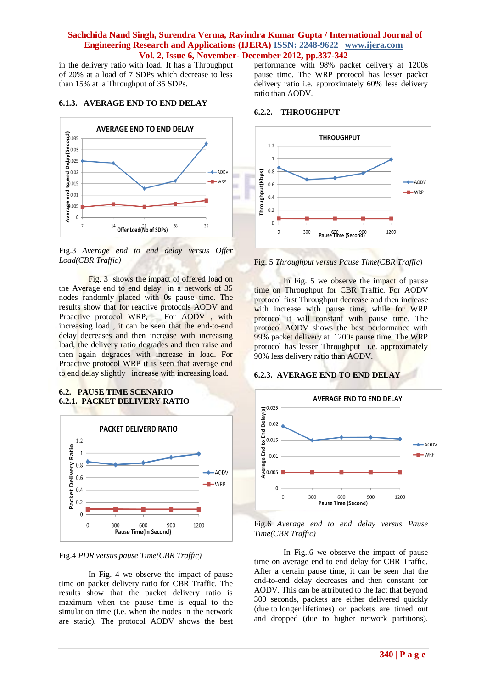in the delivery ratio with load. It has a Throughput of 20% at a load of 7 SDPs which decrease to less than 15% at a Throughput of 35 SDPs.

# **6.1.3. AVERAGE END TO END DELAY**



Fig.3 *Average end to end delay versus Offer Load(CBR Traffic)*

Fig. 3 shows the impact of offered load on the Average end to end delay in a network of 35 nodes randomly placed with 0s pause time. The results show that for reactive protocols AODV and Proactive protocol WRP, For AODV, with increasing load , it can be seen that the end-to-end delay decreases and then increase with increasing load, the delivery ratio degrades and then raise and then again degrades with increase in load. For Proactive protocol WRP it is seen that average end to end delay slightly increase with increasing load.

#### **6.2. PAUSE TIME SCENARIO 6.2.1. PACKET DELIVERY RATIO**



Fig.4 *PDR versus pause Time(CBR Traffic)*

In Fig. 4 we observe the impact of pause time on packet delivery ratio for CBR Traffic. The results show that the packet delivery ratio is maximum when the pause time is equal to the simulation time (i.e. when the nodes in the network are static). The protocol AODV shows the best

performance with 98% packet delivery at 1200s pause time. The WRP protocol has lesser packet delivery ratio i.e. approximately 60% less delivery ratio than AODV.

# **6.2.2. THROUGHPUT**



Fig. 5 *Throughput versus Pause Time(CBR Traffic)*

In Fig. 5 we observe the impact of pause time on Throughput for CBR Traffic. For AODV protocol first Throughput decrease and then increase with increase with pause time, while for WRP protocol it will constant with pause time. The protocol AODV shows the best performance with 99% packet delivery at 1200s pause time. The WRP protocol has lesser Throughput i.e. approximately 90% less delivery ratio than AODV.

### **6.2.3. AVERAGE END TO END DELAY**



Fig.6 *Average end to end delay versus Pause Time(CBR Traffic)*

In Fig..6 we observe the impact of pause time on average end to end delay for CBR Traffic. After a certain pause time, it can be seen that the end-to-end delay decreases and then constant for AODV. This can be attributed to the fact that beyond 300 seconds, packets are either delivered quickly (due to longer lifetimes) or packets are timed out and dropped (due to higher network partitions).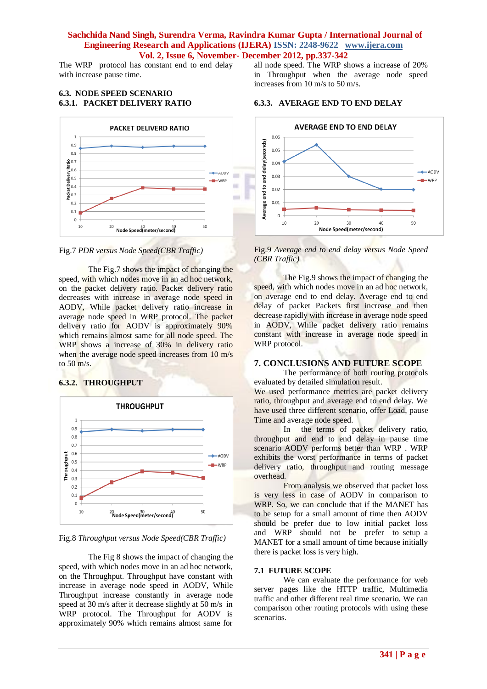The WRP protocol has constant end to end delay with increase pause time.

### **6.3. NODE SPEED SCENARIO 6.3.1. PACKET DELIVERY RATIO**



Fig.7 *PDR versus Node Speed(CBR Traffic)*

The Fig.7 shows the impact of changing the speed, with which nodes move in an ad hoc network, on the packet delivery ratio. Packet delivery ratio decreases with increase in average node speed in AODV, While packet delivery ratio increase in average node speed in WRP protocol. The packet delivery ratio for AODV is approximately 90% which remains almost same for all node speed. The WRP shows a increase of 30% in delivery ratio when the average node speed increases from 10 m/s to  $50 \text{ m/s}$ .

# **6.3.2. THROUGHPUT**



Fig.8 *Throughput versus Node Speed(CBR Traffic)*

The Fig 8 shows the impact of changing the speed, with which nodes move in an ad hoc network, on the Throughput. Throughput have constant with increase in average node speed in AODV, While Throughput increase constantly in average node speed at 30 m/s after it decrease slightly at 50 m/s in WRP protocol. The Throughput for AODV is approximately 90% which remains almost same for

all node speed. The WRP shows a increase of 20% in Throughput when the average node speed increases from 10 m/s to 50 m/s.

### **6.3.3. AVERAGE END TO END DELAY**



Fig.9 *Average end to end delay versus Node Speed (CBR Traffic)*

The Fig.9 shows the impact of changing the speed, with which nodes move in an ad hoc network. on average end to end delay. Average end to end delay of packet Packets first increase and then decrease rapidly with increase in average node speed in AODV, While packet delivery ratio remains constant with increase in average node speed in WRP protocol.

# **7. CONCLUSIONS AND FUTURE SCOPE**

The performance of both routing protocols evaluated by detailed simulation result. We used performance metrics are packet delivery ratio, throughput and average end to end delay. We have used three different scenario, offer Load, pause

Time and average node speed. In the terms of packet delivery ratio, throughput and end to end delay in pause time scenario AODV performs better than WRP . WRP exhibits the worst performance in terms of packet delivery ratio, throughput and routing message overhead.

From analysis we observed that packet loss is very less in case of AODV in comparison to WRP. So, we can conclude that if the MANET has to be setup for a small amount of time then AODV should be prefer due to low initial packet loss and WRP should not be prefer to setup a MANET for a small amount of time because initially there is packet loss is very high.

### **7.1 FUTURE SCOPE**

We can evaluate the performance for web server pages like the HTTP traffic, Multimedia traffic and other different real time scenario. We can comparison other routing protocols with using these scenarios.